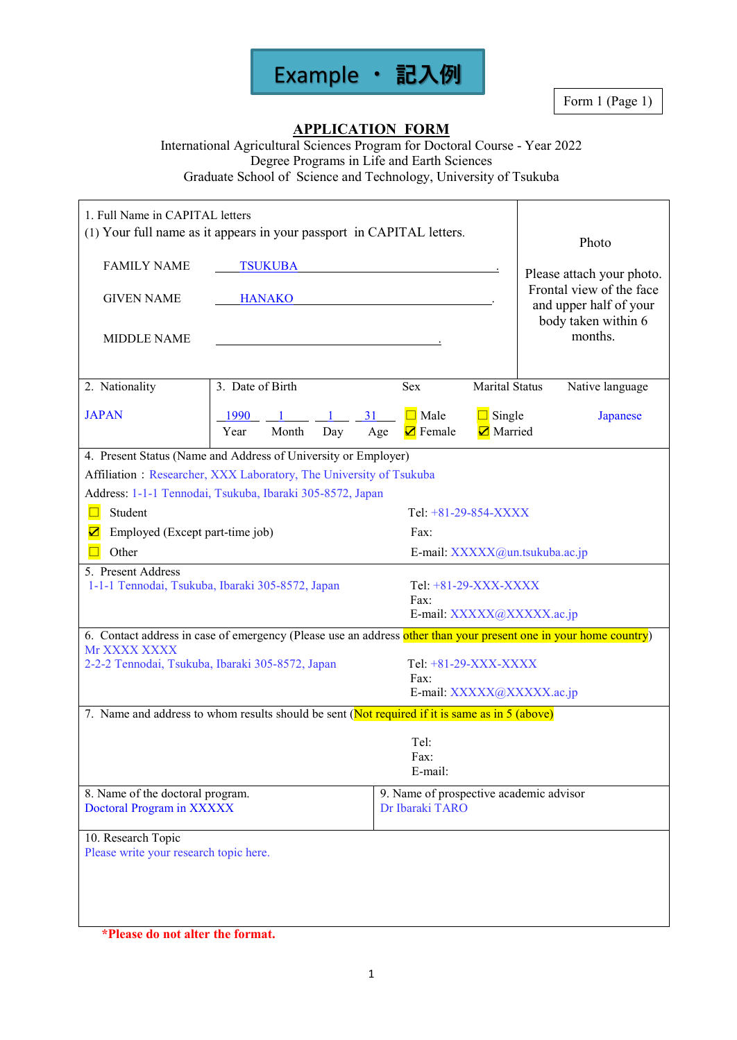

Form 1 (Page 1)

## **APPLICATION FORM**

International Agricultural Sciences Program for Doctoral Course - Year 2022 Degree Programs in Life and Earth Sciences Graduate School of Science and Technology, University of Tsukuba

| 1. Full Name in CAPITAL letters<br><b>FAMILY NAME</b><br><b>GIVEN NAME</b><br><b>MIDDLE NAME</b> | (1) Your full name as it appears in your passport in CAPITAL letters.<br><b>TSUKUBA</b><br><b>HANAKO</b>         |                                                             |                          |  | Photo<br>Please attach your photo.<br>Frontal view of the face<br>and upper half of your<br>body taken within 6<br>months. |
|--------------------------------------------------------------------------------------------------|------------------------------------------------------------------------------------------------------------------|-------------------------------------------------------------|--------------------------|--|----------------------------------------------------------------------------------------------------------------------------|
| 2. Nationality                                                                                   | 3. Date of Birth                                                                                                 | <b>Sex</b>                                                  | <b>Marital Status</b>    |  | Native language                                                                                                            |
| <b>JAPAN</b>                                                                                     | 1990<br>Month<br>Year<br>Day                                                                                     | $\Box$ Male<br>31<br><b>Ø</b> Female<br>Age                 | $\Box$ Single<br>Married |  | Japanese                                                                                                                   |
|                                                                                                  | 4. Present Status (Name and Address of University or Employer)                                                   |                                                             |                          |  |                                                                                                                            |
|                                                                                                  | Affiliation: Researcher, XXX Laboratory, The University of Tsukuba                                               |                                                             |                          |  |                                                                                                                            |
|                                                                                                  | Address: 1-1-1 Tennodai, Tsukuba, Ibaraki 305-8572, Japan                                                        |                                                             |                          |  |                                                                                                                            |
| Student<br>$\Box$                                                                                |                                                                                                                  | Tel: +81-29-854-XXXX                                        |                          |  |                                                                                                                            |
| $\overline{\mathbf{z}}$<br>Employed (Except part-time job)                                       |                                                                                                                  | Fax:                                                        |                          |  |                                                                                                                            |
| Other                                                                                            |                                                                                                                  | E-mail: XXXXX@un.tsukuba.ac.jp                              |                          |  |                                                                                                                            |
| 5. Present Address                                                                               | 1-1-1 Tennodai, Tsukuba, Ibaraki 305-8572, Japan                                                                 | Tel: $+81-29-XXX-XXXX$<br>Fax:<br>E-mail: XXXXX@XXXXX.ac.jp |                          |  |                                                                                                                            |
|                                                                                                  | 6. Contact address in case of emergency (Please use an address other than your present one in your home country) |                                                             |                          |  |                                                                                                                            |
| Mr XXXX XXXX                                                                                     | 2-2-2 Tennodai, Tsukuba, Ibaraki 305-8572, Japan                                                                 | Tel: $+81-29-XXX-XXXX$<br>Fax:<br>E-mail: XXXXX@XXXXX.ac.jp |                          |  |                                                                                                                            |
|                                                                                                  | 7. Name and address to whom results should be sent (Not required if it is same as in 5 (above)                   |                                                             |                          |  |                                                                                                                            |
|                                                                                                  |                                                                                                                  | Tel:<br>Fax:<br>E-mail:                                     |                          |  |                                                                                                                            |
| 8. Name of the doctoral program.<br>Doctoral Program in XXXXX                                    |                                                                                                                  | 9. Name of prospective academic advisor<br>Dr Ibaraki TARO  |                          |  |                                                                                                                            |
| 10. Research Topic                                                                               |                                                                                                                  |                                                             |                          |  |                                                                                                                            |
| Please write your research topic here.                                                           |                                                                                                                  |                                                             |                          |  |                                                                                                                            |

**\*Please do not alter the format.**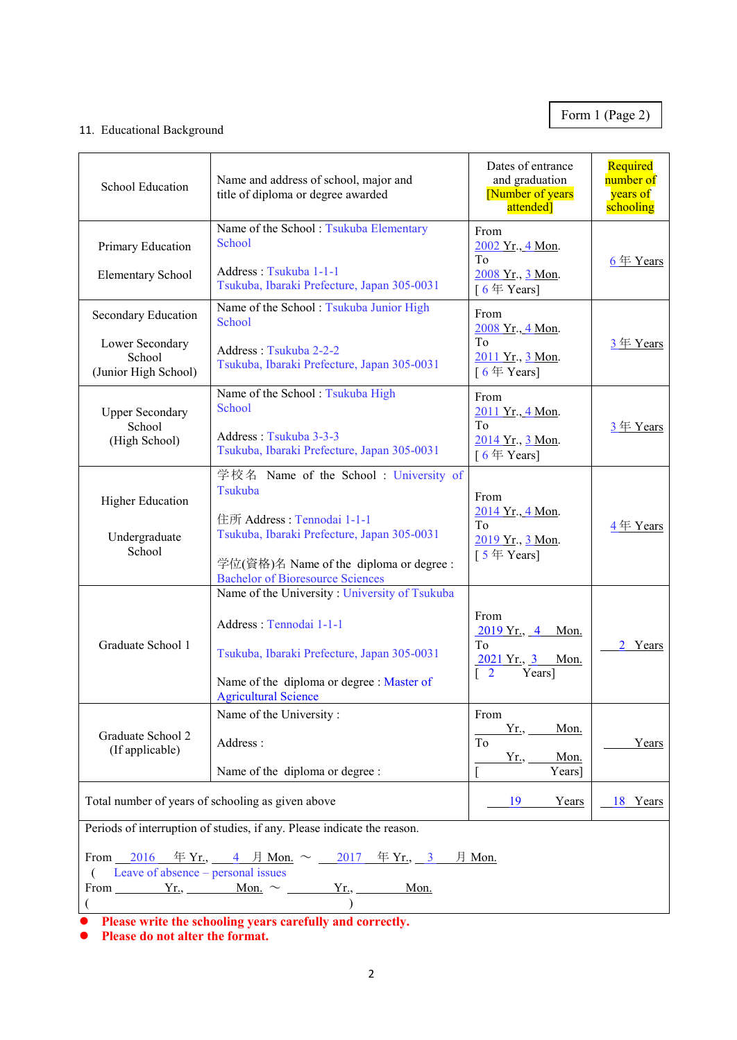# Form 1 (Page 2)

## 11. Educational Background

| School Education                                                                                                                                                                                   | Name and address of school, major and<br>title of diploma or degree awarded                                                                                                                                         | Dates of entrance<br>and graduation<br>[Number of years]<br>attended]                    | Required<br>number of<br>years of<br>schooling |  |
|----------------------------------------------------------------------------------------------------------------------------------------------------------------------------------------------------|---------------------------------------------------------------------------------------------------------------------------------------------------------------------------------------------------------------------|------------------------------------------------------------------------------------------|------------------------------------------------|--|
| Primary Education<br><b>Elementary School</b>                                                                                                                                                      | Name of the School: Tsukuba Elementary<br>School<br>Address: Tsukuba 1-1-1<br>Tsukuba, Ibaraki Prefecture, Japan 305-0031                                                                                           | From<br>2002 Yr., 4 Mon.<br>To<br>2008 Yr., 3 Mon.<br>[ $6 \notin Years$ ]               | $6 \nleftrightarrow$ Years                     |  |
| Secondary Education<br>Lower Secondary<br>School<br>(Junior High School)                                                                                                                           | Name of the School: Tsukuba Junior High<br>School<br>Address: Tsukuba 2-2-2<br>Tsukuba, Ibaraki Prefecture, Japan 305-0031                                                                                          | From<br>2008 Yr., 4 Mon.<br>To<br>2011 Yr., 3 Mon.<br>[ $6 \nsubseteq$ Years]            | 3年 Years                                       |  |
| <b>Upper Secondary</b><br>School<br>(High School)                                                                                                                                                  | Name of the School: Tsukuba High<br>School<br>Address: Tsukuba 3-3-3<br>Tsukuba, Ibaraki Prefecture, Japan 305-0031                                                                                                 | From<br>2011 Yr., 4 Mon.<br>To<br>2014 Yr., 3 Mon.<br>[ $6 \notin Years$ ]               | $3 \nleftrightarrow Y$ ears                    |  |
| <b>Higher Education</b><br>Undergraduate<br>School                                                                                                                                                 | 学校名 Name of the School: University of<br>Tsukuba<br>住所 Address: Tennodai 1-1-1<br>Tsukuba, Ibaraki Prefecture, Japan 305-0031<br>学位(資格)名 Name of the diploma or degree :<br><b>Bachelor of Bioresource Sciences</b> | From<br>2014 Yr., 4 Mon.<br>To<br>2019 Yr., 3 Mon.<br>[ $5 \notin Years$ ]               | $4 \nleftrightarrow$ Years                     |  |
| Graduate School 1                                                                                                                                                                                  | Name of the University: University of Tsukuba<br>Address: Tennodai 1-1-1<br>Tsukuba, Ibaraki Prefecture, Japan 305-0031<br>Name of the diploma or degree : Master of<br><b>Agricultural Science</b>                 | From<br>$2019$ Yr., 4<br>Mon.<br>To<br><u>2021 Yr., 3 Mon.</u><br>Years]<br>$\mathbf{2}$ | 2 Years                                        |  |
| Graduate School 2<br>(If applicable)                                                                                                                                                               | Name of the University:<br>Address:<br>Name of the diploma or degree :                                                                                                                                              | From<br>$Yr_{\cdot}$<br>Mon.<br>To<br>Yr.,<br>Mon.<br>Years]                             | Years                                          |  |
| Total number of years of schooling as given above<br>19<br>Years<br>Periods of interruption of studies, if any. Please indicate the reason.                                                        |                                                                                                                                                                                                                     |                                                                                          | 18 Years                                       |  |
| From 2016 $\text{\textsterling} Yr_{.}$ , 4 $\text{\textsterling}$ Mon. $\sim$ 2017 $\text{\textsterling} Yr_{.}$ , 3<br>月 Mon.<br>Leave of absence – personal issues<br>Mon.<br>Yr.,<br>$\lambda$ |                                                                                                                                                                                                                     |                                                                                          |                                                |  |

**Please write the schooling years carefully and correctly.**

**Please do not alter the format.**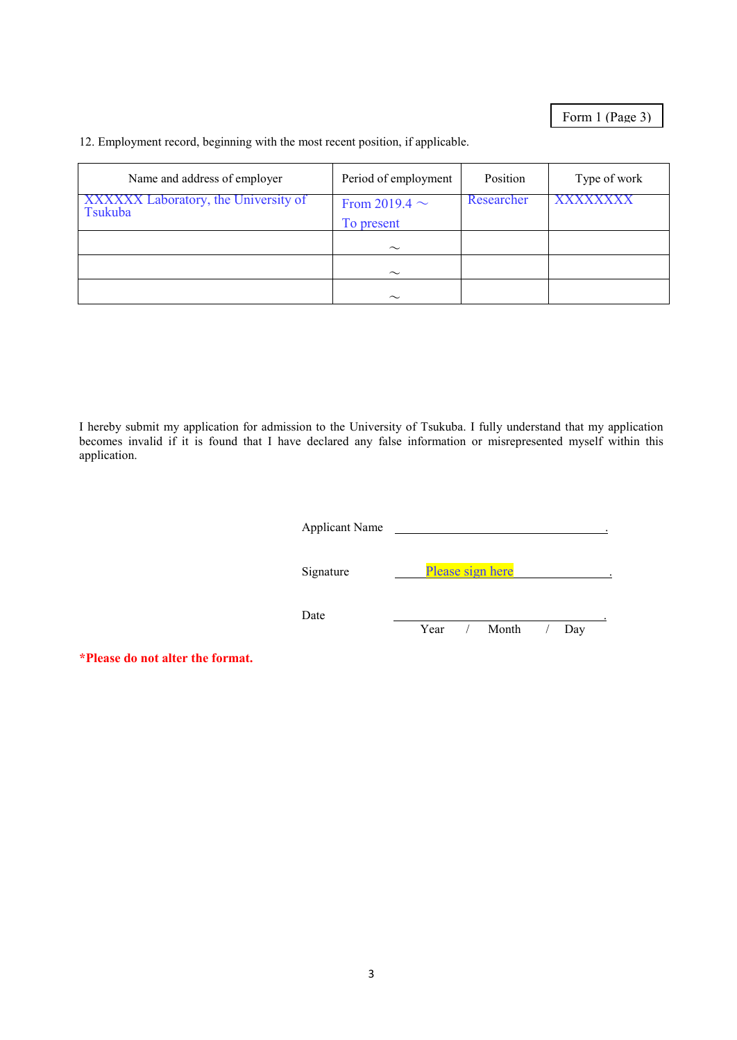Form 1 (Page 3)

12. Employment record, beginning with the most recent position, if applicable.

| Name and address of employer                    | Period of employment             | Position   | Type of work    |
|-------------------------------------------------|----------------------------------|------------|-----------------|
| XXXXXX Laboratory, the University of<br>Tsukuba | From 2019.4 $\sim$<br>To present | Researcher | <b>XXXXXXXX</b> |
|                                                 | $\sim$                           |            |                 |
|                                                 | $\sim$                           |            |                 |
|                                                 | $\sim$                           |            |                 |

I hereby submit my application for admission to the University of Tsukuba. I fully understand that my application becomes invalid if it is found that I have declared any false information or misrepresented myself within this application.

| <b>Applicant Name</b> |                         |
|-----------------------|-------------------------|
| Signature             | Please sign here        |
| Date                  | Year / Month<br>$/$ Day |

**\*Please do not alter the format.**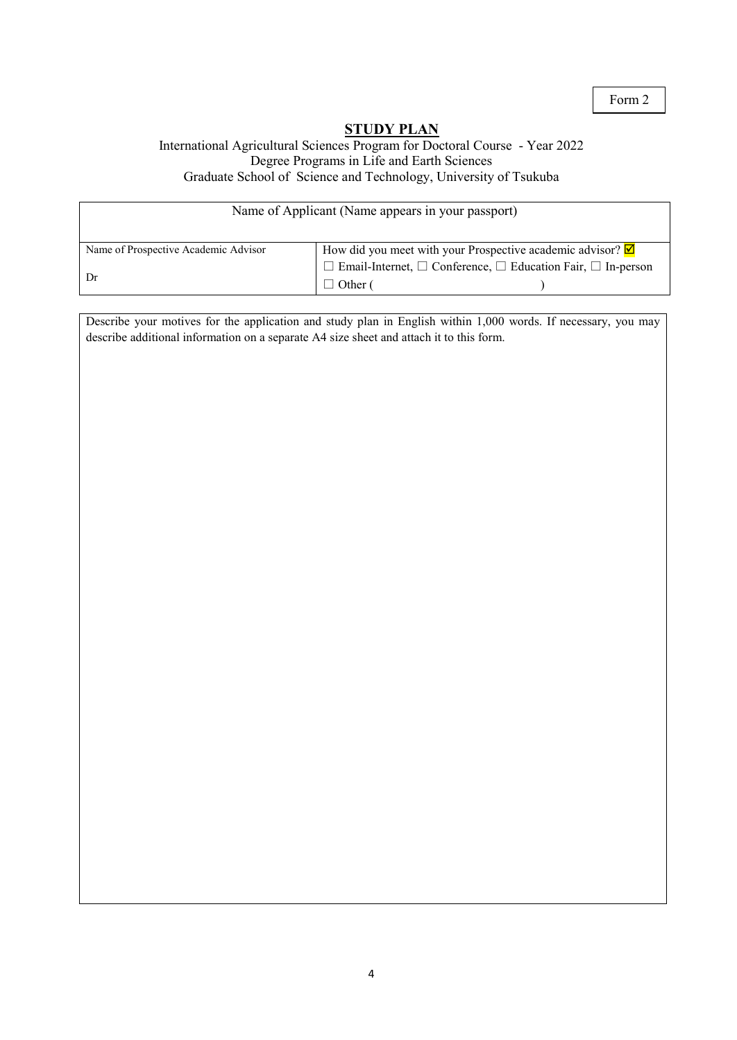### **STUDY PLAN**

#### International Agricultural Sciences Program for Doctoral Course - Year 2022 Degree Programs in Life and Earth Sciences Graduate School of Science and Technology, University of Tsukuba

| Name of Applicant (Name appears in your passport) |                                                                                   |  |  |
|---------------------------------------------------|-----------------------------------------------------------------------------------|--|--|
| Name of Prospective Academic Advisor              | How did you meet with your Prospective academic advisor? $\boxtimes$              |  |  |
|                                                   | $\Box$ Email-Internet, $\Box$ Conference, $\Box$ Education Fair, $\Box$ In-person |  |  |
|                                                   | $\Box$ Other (                                                                    |  |  |

Describe your motives for the application and study plan in English within 1,000 words. If necessary, you may describe additional information on a separate A4 size sheet and attach it to this form.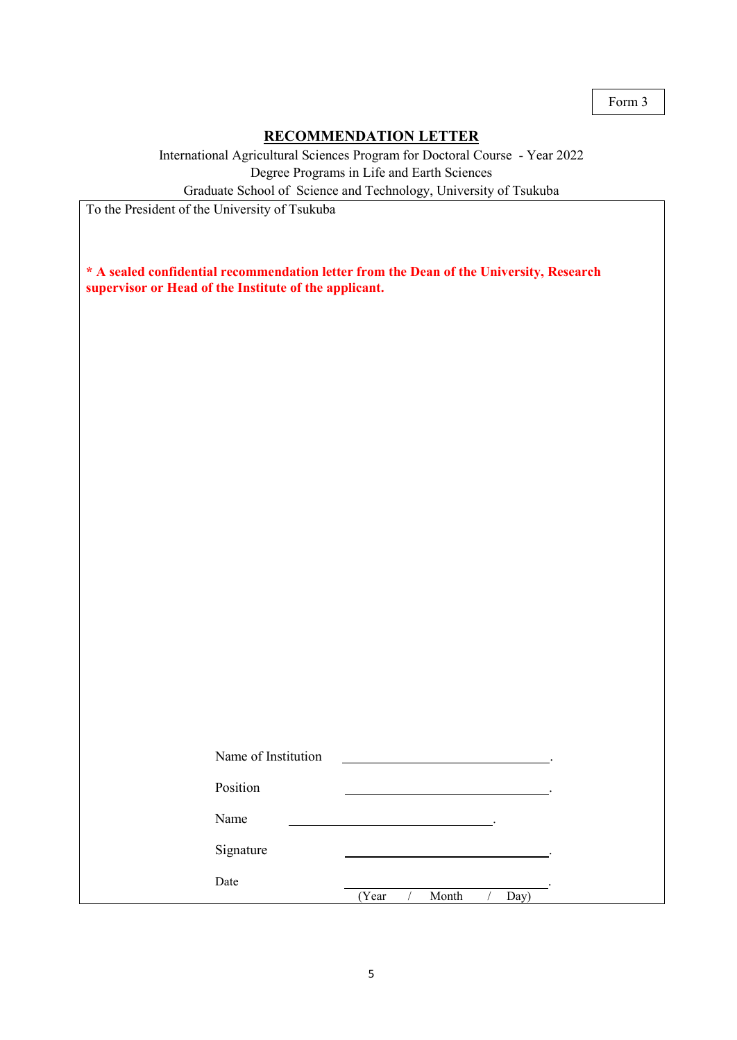### **RECOMMENDATION LETTER**

International Agricultural Sciences Program for Doctoral Course - Year 2022 Degree Programs in Life and Earth Sciences

Graduate School of Science and Technology, University of Tsukuba

To the President of the University of Tsukuba

| * A sealed confidential recommendation letter from the Dean of the University, Research |  |
|-----------------------------------------------------------------------------------------|--|
| supervisor or Head of the Institute of the applicant.                                   |  |

| Name of Institution |                        |
|---------------------|------------------------|
| Position            |                        |
| Name                |                        |
| Signature           |                        |
| Date                | (Year<br>Month<br>Day) |
|                     |                        |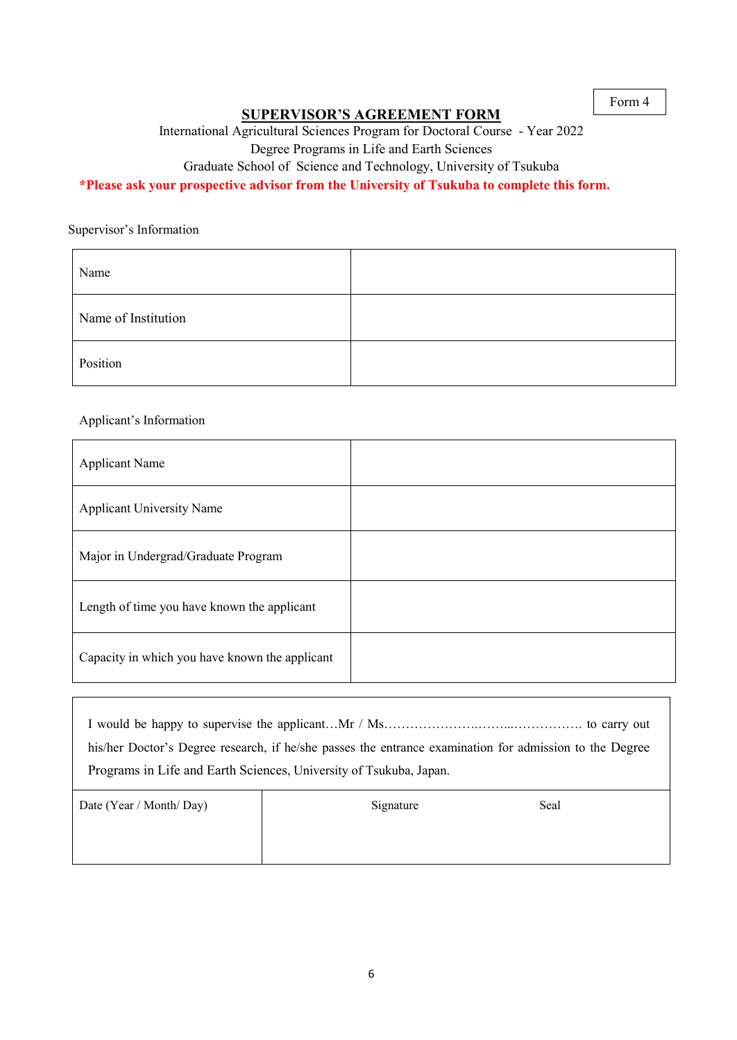#### **SUPERVISOR'S AGREEMENT FORM**

International Agricultural Sciences Program for Doctoral Course - Year 2022

Degree Programs in Life and Earth Sciences

Graduate School of Science and Technology, University of Tsukuba

### **\*Please ask your prospective advisor from the University of Tsukuba to complete this form.**

Supervisor's Information

| Name                |  |
|---------------------|--|
| Name of Institution |  |
| Position            |  |

#### Applicant's Information

| <b>Applicant Name</b>                          |  |
|------------------------------------------------|--|
| <b>Applicant University Name</b>               |  |
| Major in Undergrad/Graduate Program            |  |
| Length of time you have known the applicant    |  |
| Capacity in which you have known the applicant |  |

| his/her Doctor's Degree research, if he/she passes the entrance examination for admission to the Degree |  |  |
|---------------------------------------------------------------------------------------------------------|--|--|
| Programs in Life and Earth Sciences, University of Tsukuba, Japan.                                      |  |  |
|                                                                                                         |  |  |

| Date (Year / Month/ Day) | Signature | Seal |  |
|--------------------------|-----------|------|--|
|                          |           |      |  |
|                          |           |      |  |
|                          |           |      |  |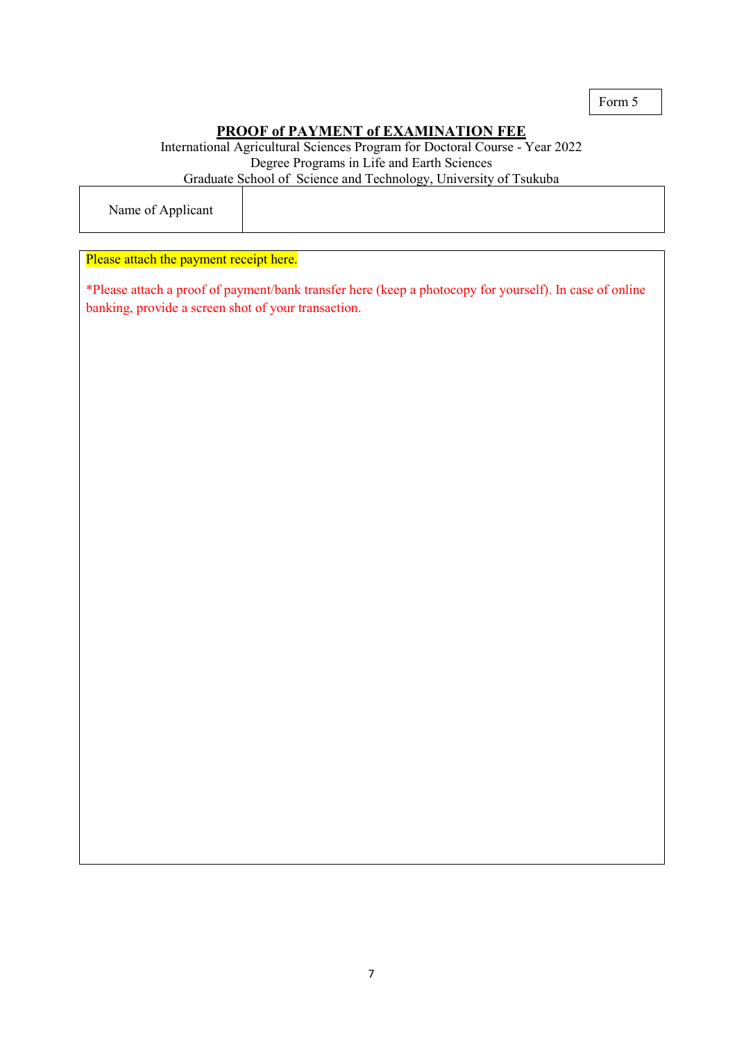# **PROOF of PAYMENT of EXAMINATION FEE**

International Agricultural Sciences Program for Doctoral Course - Year 2022 Degree Programs in Life and Earth Sciences Graduate School of Science and Technology, University of Tsukuba

Name of Applicant

#### Please attach the payment receipt here.

\*Please attach a proof of payment/bank transfer here (keep a photocopy for yourself). In case of online banking, provide a screen shot of your transaction.